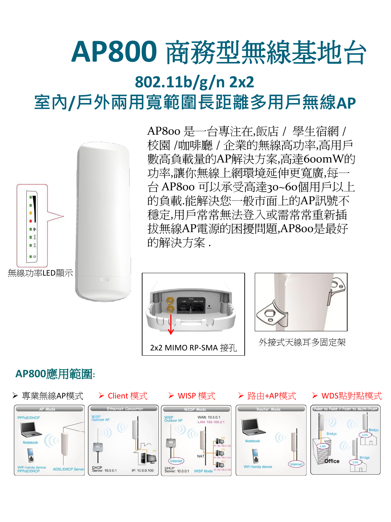# **AP800** 商務型無線基地台 **802.11b/g/n 2x2**  室內**/**戶外兩用寬範圍長距離多用戶無線**AP**



AP800 是一台專注在,飯店 / 學生宿網 / 校園 /咖啡廳 / 企業的無線高功率,高用戶 數高負載量的AP解決方案,高達600mW的 功率,讓你無線上網環境延伸更寬廣,每-台 AP800 可以承受高達30~60個用戶以上 的負載.能解決您一般市面上的AP訊號不 穩定,用戶常常無法登入或需常常重新插 拔無線AP電源的困擾問題,AP800是最好 的解決方案 .





外接式天線耳多固定架

### **AP800**應用範圍**:**







> Client 模式 → WISP 模式 → 路由+AP模式 → WDS點對點模式